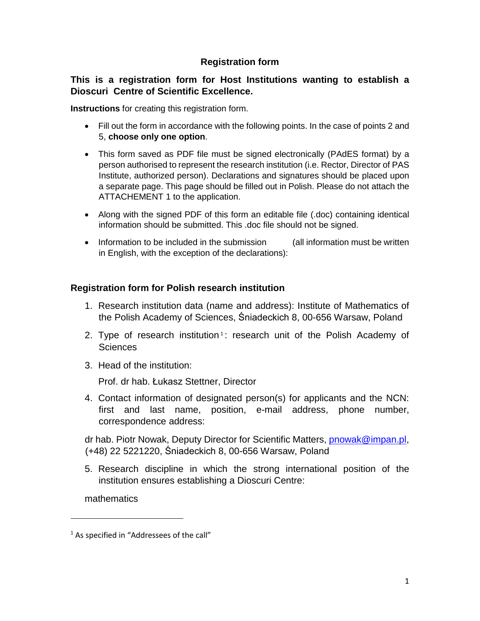# **Registration form**

## **This is a registration form for Host Institutions wanting to establish a Dioscuri Centre of Scientific Excellence.**

**Instructions** for creating this registration form.

- Fill out the form in accordance with the following points. In the case of points 2 and 5, **choose only one option**.
- This form saved as PDF file must be signed electronically (PAdES format) by a person authorised to represent the research institution (i.e. Rector, Director of PAS Institute, authorized person). Declarations and signatures should be placed upon a separate page. This page should be filled out in Polish. Please do not attach the ATTACHEMENT 1 to the application.
- Along with the signed PDF of this form an editable file (.doc) containing identical information should be submitted. This .doc file should not be signed.
- Information to be included in the submission (all information must be written in English, with the exception of the declarations):

## **Registration form for Polish research institution**

- 1. Research institution data (name and address): Institute of Mathematics of the Polish Academy of Sciences, Śniadeckich 8, 00-656 Warsaw, Poland
- 2. Type of research institution<sup>1</sup>: research unit of the Polish Academy of **Sciences**
- 3. Head of the institution:

Prof. dr hab. Łukasz Stettner, Director

4. Contact information of designated person(s) for applicants and the NCN: first and last name, position, e-mail address, phone number, correspondence address:

dr hab. Piotr Nowak, Deputy Director for Scientific Matters, **pnowak@impan.pl**, (+48) 22 5221220, Śniadeckich 8, 00-656 Warsaw, Poland

5. Research discipline in which the strong international position of the institution ensures establishing a Dioscuri Centre:

mathematics

 $\overline{\phantom{a}}$ 

<sup>&</sup>lt;sup>1</sup> As specified in "Addressees of the call"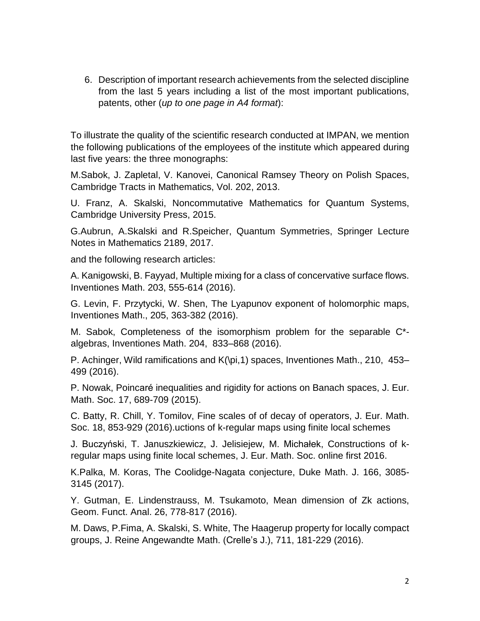6. Description of important research achievements from the selected discipline from the last 5 years including a list of the most important publications, patents, other (*up to one page in A4 format*):

To illustrate the quality of the scientific research conducted at IMPAN, we mention the following publications of the employees of the institute which appeared during last five years: the three monographs:

M.Sabok, J. Zapletal, V. Kanovei, Canonical Ramsey Theory on Polish Spaces, Cambridge Tracts in Mathematics, Vol. 202, 2013.

U. Franz, A. Skalski, Noncommutative Mathematics for Quantum Systems, Cambridge University Press, 2015.

G.Aubrun, A.Skalski and R.Speicher, Quantum Symmetries, Springer Lecture Notes in Mathematics 2189, 2017.

and the following research articles:

A. Kanigowski, B. Fayyad, Multiple mixing for a class of concervative surface flows. Inventiones Math. 203, 555-614 (2016).

G. Levin, F. Przytycki, W. Shen, The Lyapunov exponent of holomorphic maps, Inventiones Math., 205, 363-382 (2016).

M. Sabok, Completeness of the isomorphism problem for the separable C\* algebras, Inventiones Math. 204, 833–868 (2016).

P. Achinger, Wild ramifications and K(\pi,1) spaces, Inventiones Math., 210, 453– 499 (2016).

P. Nowak, Poincaré inequalities and rigidity for actions on Banach spaces, J. Eur. Math. Soc. 17, 689-709 (2015).

C. Batty, R. Chill, Y. Tomilov, Fine scales of of decay of operators, J. Eur. Math. Soc. 18, 853-929 (2016).uctions of k-regular maps using finite local schemes

J. Buczyński, T. Januszkiewicz, J. Jelisiejew, M. Michałek, Constructions of kregular maps using finite local schemes, J. Eur. Math. Soc. online first 2016.

K.Palka, M. Koras, The Coolidge-Nagata conjecture, Duke Math. J. 166, 3085- 3145 (2017).

Y. Gutman, E. Lindenstrauss, M. Tsukamoto, Mean dimension of Zk actions, Geom. Funct. Anal. 26, 778-817 (2016).

M. Daws, P.Fima, A. Skalski, S. White, The Haagerup property for locally compact groups, J. Reine Angewandte Math. (Crelle's J.), 711, 181-229 (2016).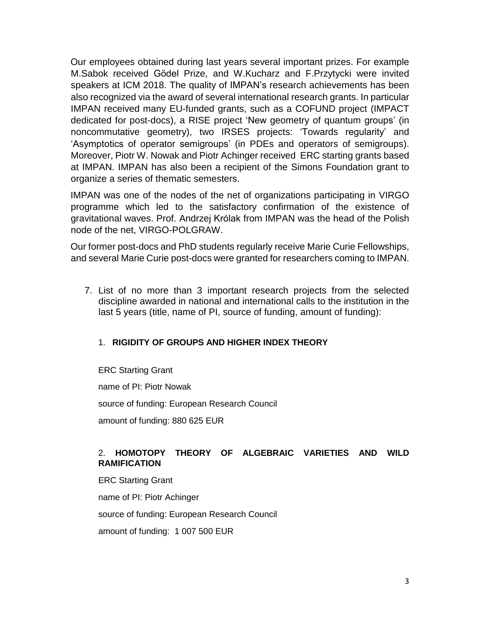Our employees obtained during last years several important prizes. For example M.Sabok received Gödel Prize, and W.Kucharz and F.Przytycki were invited speakers at ICM 2018. The quality of IMPAN's research achievements has been also recognized via the award of several international research grants. In particular IMPAN received many EU-funded grants, such as a COFUND project (IMPACT dedicated for post-docs), a RISE project 'New geometry of quantum groups' (in noncommutative geometry), two IRSES projects: 'Towards regularity' and 'Asymptotics of operator semigroups' (in PDEs and operators of semigroups). Moreover, Piotr W. Nowak and Piotr Achinger received ERC starting grants based at IMPAN. IMPAN has also been a recipient of the Simons Foundation grant to organize a series of thematic semesters.

IMPAN was one of the nodes of the net of organizations participating in VIRGO programme which led to the satisfactory confirmation of the existence of gravitational waves. Prof. Andrzej Królak from IMPAN was the head of the Polish node of the net, VIRGO-POLGRAW.

Our former post-docs and PhD students regularly receive Marie Curie Fellowships, and several Marie Curie post-docs were granted for researchers coming to IMPAN.

7. List of no more than 3 important research projects from the selected discipline awarded in national and international calls to the institution in the last 5 years (title, name of PI, source of funding, amount of funding):

### 1. **RIGIDITY OF GROUPS AND HIGHER INDEX THEORY**

ERC Starting Grant

name of PI: Piotr Nowak

source of funding: European Research Council

amount of funding: 880 625 EUR

### 2. **HOMOTOPY THEORY OF ALGEBRAIC VARIETIES AND WILD RAMIFICATION**

ERC Starting Grant name of PI: Piotr Achinger source of funding: European Research Council amount of funding: 1 007 500 EUR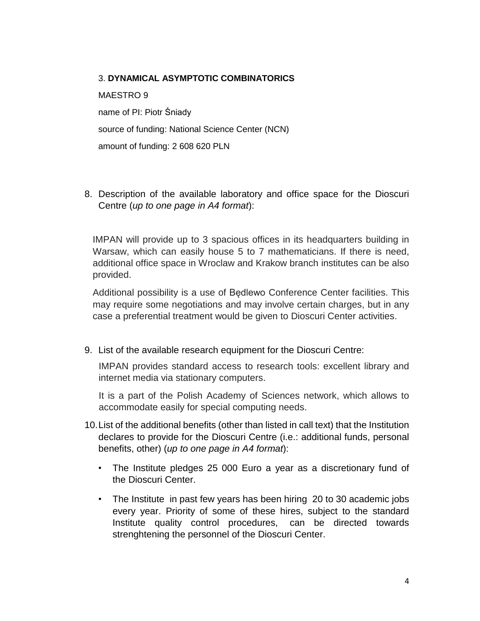#### 3. **DYNAMICAL ASYMPTOTIC COMBINATORICS**

MAESTRO 9 name of PI: Piotr Śniady source of funding: National Science Center (NCN) amount of funding: 2 608 620 PLN

8. Description of the available laboratory and office space for the Dioscuri Centre (*up to one page in A4 format*):

IMPAN will provide up to 3 spacious offices in its headquarters building in Warsaw, which can easily house 5 to 7 mathematicians. If there is need, additional office space in Wroclaw and Krakow branch institutes can be also provided.

Additional possibility is a use of Będlewo Conference Center facilities. This may require some negotiations and may involve certain charges, but in any case a preferential treatment would be given to Dioscuri Center activities.

9. List of the available research equipment for the Dioscuri Centre:

IMPAN provides standard access to research tools: excellent library and internet media via stationary computers.

It is a part of the Polish Academy of Sciences network, which allows to accommodate easily for special computing needs.

- 10.List of the additional benefits (other than listed in call text) that the Institution declares to provide for the Dioscuri Centre (i.e.: additional funds, personal benefits, other) (*up to one page in A4 format*):
	- The Institute pledges 25 000 Euro a year as a discretionary fund of the Dioscuri Center.
	- The Institute in past few years has been hiring 20 to 30 academic jobs every year. Priority of some of these hires, subject to the standard Institute quality control procedures, can be directed towards strenghtening the personnel of the Dioscuri Center.